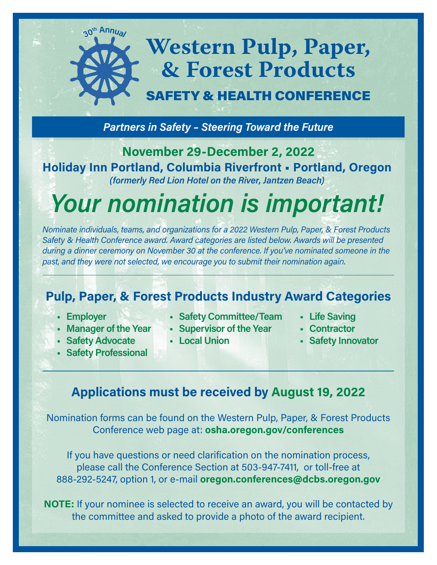# **Western Pulp, Paper, & Forest Products**

## SAFETY & HEALTH CONFERENCE

*Partners in Safety – Steering Toward the Future*

**November 29-December 2, 2022 Holiday Inn Portland, Columbia Riverfront • Portland, Oregon** *(formerly Red Lion Hotel on the River, Jantzen Beach)*

*Your nomination is important!*

*Nominate individuals, teams, and organizations for a 2022 Western Pulp, Paper, & Forest Products Safety & Health Conference award. Award categories are listed below. Awards will be presented during a dinner ceremony on November 30 at the conference. If you've nominated someone in the past, and they were not selected, we encourage you to submit their nomination again.*

### **Pulp, Paper, & Forest Products Industry Award Categories**

- **• Employer**
- **• Manager of the Year**

**<sup>3</sup>0<sup>t</sup><sup>h</sup> <sup>A</sup>nnua<sup>l</sup>**

- **• Safety Advocate**
- **• Safety Professional**
- **• Safety Committee/Team • Life Saving**
- **• Supervisor of the Year**
- **• Local Union**
- 
- **• Contractor**
- **• Safety Innovator**

### **Applications must be received by August 19, 2022**

Nomination forms can be found on the Western Pulp, Paper, & Forest Products Conference web page at: **[osha.oregon.gov/conferences](http://osha.oregon.gov/conferences)**

If you have questions or need clarification on the nomination process, please call the Conference Section at 503-947-7411, or toll-free at 888-292-5247, option 1, or e-mail **[oregon.conferences@dcbs.oregon.gov](mailto:oregon.conferences%40oregon.gov?subject=)**

**NOTE:** If your nominee is selected to receive an award, you will be contacted by the committee and asked to provide a photo of the award recipient.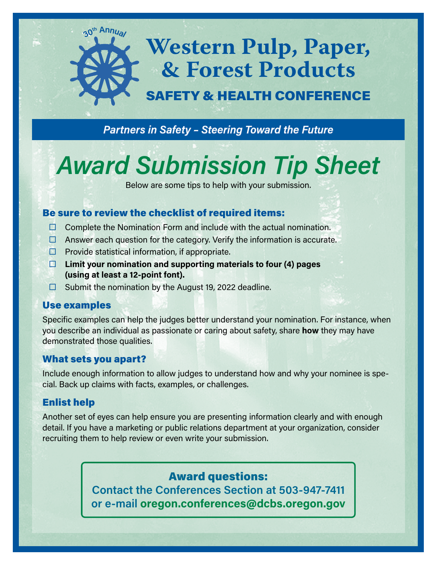# **Western Pulp, Paper, & Forest Products**  SAFETY & HEALTH CONFERENCE

*Partners in Safety – Steering Toward the Future*

# *Award Submission Tip Sheet*

Below are some tips to help with your submission.

### Be sure to review the checklist of required items:

- $\Box$  Complete the Nomination Form and include with the actual nomination.
- $\Box$  Answer each question for the category. Verify the information is accurate.
- $\Box$  Provide statistical information, if appropriate.
- **Limit your nomination and supporting materials to four (4) pages (using at least a 12-point font).**
- $\Box$  Submit the nomination by the August 19, 2022 deadline.

#### Use examples

Specific examples can help the judges better understand your nomination. For instance, when you describe an individual as passionate or caring about safety, share **how** they may have demonstrated those qualities.

### What sets you apart?

**<sup>3</sup>0<sup>t</sup><sup>h</sup> <sup>A</sup>nnua<sup>l</sup>**

Include enough information to allow judges to understand how and why your nominee is special. Back up claims with facts, examples, or challenges.

### Enlist help

Another set of eyes can help ensure you are presenting information clearly and with enough detail. If you have a marketing or public relations department at your organization, consider recruiting them to help review or even write your submission.

### Award questions:

**Contact the Conferences Section at 503-947-7411 or e-mail o[regon.conferences@dcbs.oregon.gov](mailto:oregon.conferences%40oregon.gov?subject=)**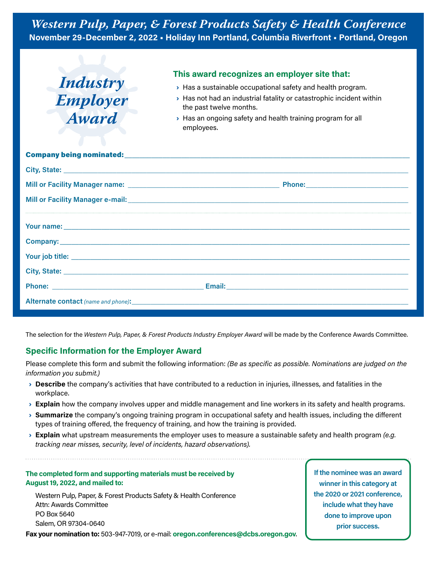

#### **This award recognizes an employer site that:**

- › Has a sustainable occupational safety and health program.
- › Has not had an industrial fatality or catastrophic incident within the past twelve months.
- › Has an ongoing safety and health training program for all employees.

The selection for the *Western Pulp, Paper, & Forest Products Industry Employer Award* will be made by the Conference Awards Committee.

#### **Specific Information for the Employer Award**

Please complete this form and submit the following information: *(Be as specific as possible. Nominations are judged on the information you submit.)*

- › **Describe** the company's activities that have contributed to a reduction in injuries, illnesses, and fatalities in the workplace.
- › **Explain** how the company involves upper and middle management and line workers in its safety and health programs.
- › **Summarize** the company's ongoing training program in occupational safety and health issues, including the different types of training offered, the frequency of training, and how the training is provided.
- › **Explain** what upstream measurements the employer uses to measure a sustainable safety and health program *(e.g. tracking near misses, security, level of incidents, hazard observations).*

#### **The completed form and supporting materials must be received by August 19, 2022, and mailed to:**

Western Pulp, Paper, & Forest Products Safety & Health Conference Attn: Awards Committee PO Box 5640 Salem, OR 97304-0640

**Fax your nomination to:** 503-947-7019, or e-mail: **[oregon.conferences@dcbs.oregon.gov](https://osha.oregon.govoregon.conferences@oregon.gov)**.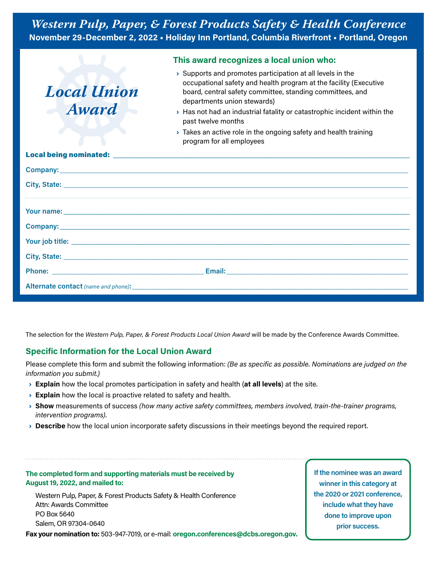|                      | This award recognizes a local union who:                                                                                                                                                                                                                                                                                                  |
|----------------------|-------------------------------------------------------------------------------------------------------------------------------------------------------------------------------------------------------------------------------------------------------------------------------------------------------------------------------------------|
| Local Union<br>Award | $\rightarrow$ Supports and promotes participation at all levels in the<br>occupational safety and health program at the facility (Executive<br>board, central safety committee, standing committees, and<br>departments union stewards)<br>> Has not had an industrial fatality or catastrophic incident within the<br>past twelve months |
|                      | $\rightarrow$ Takes an active role in the ongoing safety and health training<br>program for all employees                                                                                                                                                                                                                                 |
|                      |                                                                                                                                                                                                                                                                                                                                           |
|                      |                                                                                                                                                                                                                                                                                                                                           |
|                      | City, State: <u>City, State:</u> City, State: City, State: City, State: City, State: City, State: City, State: City, State: City, State: City, State: City, State: City, State: City, State: City, State: City, State: City, State:                                                                                                       |
|                      |                                                                                                                                                                                                                                                                                                                                           |
|                      |                                                                                                                                                                                                                                                                                                                                           |
|                      |                                                                                                                                                                                                                                                                                                                                           |
|                      |                                                                                                                                                                                                                                                                                                                                           |
|                      |                                                                                                                                                                                                                                                                                                                                           |
|                      |                                                                                                                                                                                                                                                                                                                                           |
|                      |                                                                                                                                                                                                                                                                                                                                           |

The selection for the *Western Pulp, Paper, & Forest Products Local Union Award* will be made by the Conference Awards Committee.

#### **Specific Information for the Local Union Award**

Please complete this form and submit the following information: *(Be as specific as possible. Nominations are judged on the information you submit.)*

- › **Explain** how the local promotes participation in safety and health (**at all levels**) at the site.
- **Explain** how the local is proactive related to safety and health.
- › **Show** measurements of success *(how many active safety committees, members involved, train-the-trainer programs, intervention programs)*.
- › **Describe** how the local union incorporate safety discussions in their meetings beyond the required report.

#### **The completed form and supporting materials must be received by August 19, 2022, and mailed to:**

Western Pulp, Paper, & Forest Products Safety & Health Conference Attn: Awards Committee PO Box 5640 Salem, OR 97304-0640

**Fax your nomination to:** 503-947-7019, or e-mail: **[oregon.conferences@dcbs.oregon.gov](https://osha.oregon.govoregon.conferences@oregon.gov).**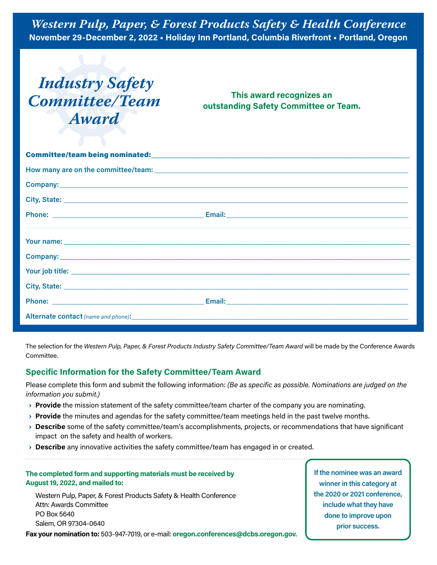# *Industry Safety Committee/Team Award*

**This award recognizes an outstanding Safety Committee or Team.**

|  | City, State: <u>City, State: City, State:</u> City, State: City, State: City, State: City, State: City, State: City, State: City, State: City, State: City, State: City, State: City, State: City, State: City, State: City, State: |
|--|-------------------------------------------------------------------------------------------------------------------------------------------------------------------------------------------------------------------------------------|
|  |                                                                                                                                                                                                                                     |
|  |                                                                                                                                                                                                                                     |

The selection for the *Western Pulp, Paper, & Forest Products Industry Safety Committee/Team Award* will be made by the Conference Awards Committee.

#### **Specific Information for the Safety Committee/Team Award**

Please complete this form and submit the following information: *(Be as specific as possible. Nominations are judged on the information you submit.)*

- › **Provide** the mission statement of the safety committee/team charter of the company you are nominating.
- › **Provide** the minutes and agendas for the safety committee/team meetings held in the past twelve months.
- › **Describe** some of the safety committee/team's accomplishments, projects, or recommendations that have significant impact on the safety and health of workers.
- › **Describe** any innovative activities the safety committee/team has engaged in or created.

#### **The completed form and supporting materials must be received by August 19, 2022, and mailed to:**

Western Pulp, Paper, & Forest Products Safety & Health Conference Attn: Awards Committee PO Box 5640 Salem, OR 97304-0640

**Fax your nomination to:** 503-947-7019, or e-mail: **[oregon.conferences@dcbs.oregon.gov](https://osha.oregon.govoregon.conferences@oregon.gov)**.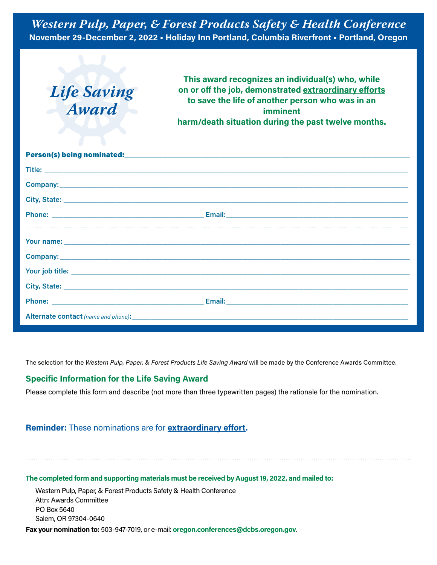# *Life Saving Award*

**This award recognizes an individual(s) who, while on or off the job, demonstrated extraordinary efforts to save the life of another person who was in an imminent harm/death situation during the past twelve months.**

The selection for the *Western Pulp, Paper, & Forest Products Life Saving Award* will be made by the Conference Awards Committee.

#### **Specific Information for the Life Saving Award**

Please complete this form and describe (not more than three typewritten pages) the rationale for the nomination.

#### **Reminder:** These nominations are for **extraordinary effort.**

**The completed form and supporting materials must be received by August 19, 2022, and mailed to:**

Western Pulp, Paper, & Forest Products Safety & Health Conference Attn: Awards Committee PO Box 5640 Salem, OR 97304-0640

**Fax your nomination to:** 503-947-7019, or e-mail: **[oregon.conferences@dcbs.oregon](https://osha.oregon.govoregon.conferences@oregon.gov).gov**.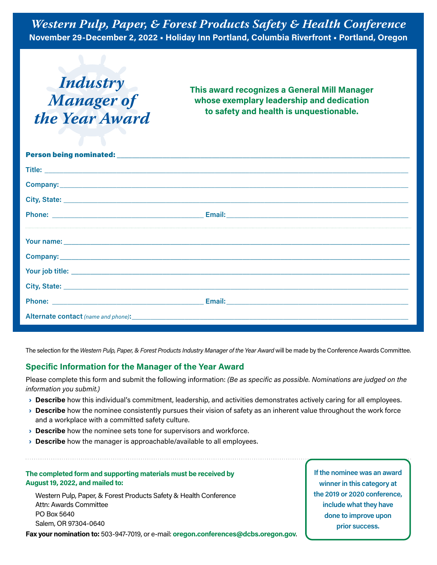## *Industry Manager of the Year Award*

**This award recognizes a General Mill Manager whose exemplary leadership and dedication to safety and health is unquestionable.**

The selection for the Western Pulp, Paper, & Forest Products Industry Manager of the Year Award will be made by the Conference Awards Committee.

#### **Specific Information for the Manager of the Year Award**

Please complete this form and submit the following information: *(Be as specific as possible. Nominations are judged on the information you submit.)*

- › **Describe** how this individual's commitment, leadership, and activities demonstrates actively caring for all employees.
- › **Describe** how the nominee consistently pursues their vision of safety as an inherent value throughout the work force and a workplace with a committed safety culture.
- › **Describe** how the nominee sets tone for supervisors and workforce.
- › **Describe** how the manager is approachable/available to all employees.

#### **The completed form and supporting materials must be received by August 19, 2022, and mailed to:**

Western Pulp, Paper, & Forest Products Safety & Health Conference Attn: Awards Committee PO Box 5640 Salem, OR 97304-0640

**Fax your nomination to:** 503-947-7019, or e-mail: **[oregon.conferences@dcbs.oregon.gov](https://osha.oregon.govoregon.conferences@oregon.gov)**.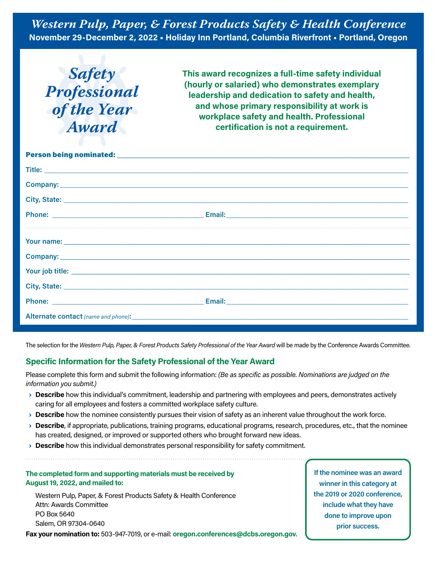*Safety Professional of the Year Award*

**This award recognizes a full-time safety individual (hourly or salaried) who demonstrates exemplary leadership and dedication to safety and health, and whose primary responsibility at work is workplace safety and health. Professional certification is not a requirement.**

The selection for the Western Pulp, Paper, & Forest Products Safety Professional of the Year Award will be made by the Conference Awards Committee.

#### **Specific Information for the Safety Professional of the Year Award**

Please complete this form and submit the following information: *(Be as specific as possible. Nominations are judged on the information you submit.)*

- › **Describe** how this individual's commitment, leadership and partnering with employees and peers, demonstrates actively caring for all employees and fosters a committed workplace safety culture.
- › **Describe** how the nominee consistently pursues their vision of safety as an inherent value throughout the work force.
- › **Describe**, if appropriate, publications, training programs, educational programs, research, procedures, etc., that the nominee has created, designed, or improved or supported others who brought forward new ideas.
- › **Describe** how this individual demonstrates personal responsibility for safety commitment.

#### **The completed form and supporting materials must be received by August 19, 2022, and mailed to:**

Western Pulp, Paper, & Forest Products Safety & Health Conference Attn: Awards Committee PO Box 5640 Salem, OR 97304-0640

**Fax your nomination to:** 503-947-7019, or e-mail: **[oregon.conferences@dcbs.oregon.gov](https://osha.oregon.govoregon.conferences@oregon.gov)**.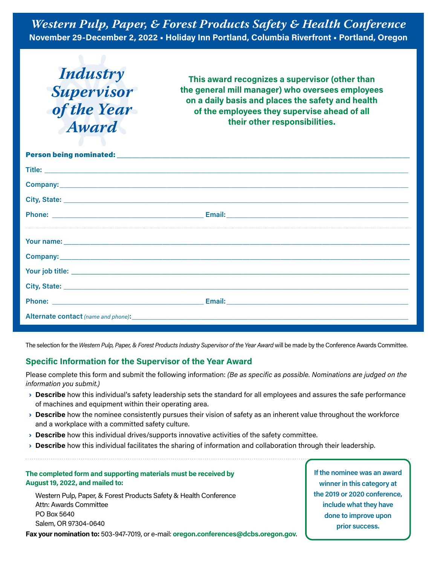*Industry Supervisor of the Year Award*

**This award recognizes a supervisor (other than the general mill manager) who oversees employees on a daily basis and places the safety and health of the employees they supervise ahead of all their other responsibilities.**

| Your name: <u>example and a series of the series of the series of the series of the series of the series of the series of the series of the series of the series of the series of the series of the series of the series of the </u> |
|--------------------------------------------------------------------------------------------------------------------------------------------------------------------------------------------------------------------------------------|
|                                                                                                                                                                                                                                      |
|                                                                                                                                                                                                                                      |
| City, State: <u>City, State: City, State:</u> City, State: City, State: City, State: City, State: City, State: City, State: City, State: City, State: City, State: City, State: City, State: City, State: City, State: City, State:  |
|                                                                                                                                                                                                                                      |
|                                                                                                                                                                                                                                      |

The selection for the Western Pulp, Paper, & Forest Products Industry Supervisor of the Year Award will be made by the Conference Awards Committee.

#### **Specific Information for the Supervisor of the Year Award**

Please complete this form and submit the following information: *(Be as specific as possible. Nominations are judged on the information you submit.)*

- › **Describe** how this individual's safety leadership sets the standard for all employees and assures the safe performance of machines and equipment within their operating area.
- › **Describe** how the nominee consistently pursues their vision of safety as an inherent value throughout the workforce and a workplace with a committed safety culture.
- › **Describe** how this individual drives/supports innovative activities of the safety committee.
- › **Describe** how this individual facilitates the sharing of information and collaboration through their leadership.

#### **The completed form and supporting materials must be received by August 19, 2022, and mailed to:**

Western Pulp, Paper, & Forest Products Safety & Health Conference Attn: Awards Committee PO Box 5640 Salem, OR 97304-0640

**Fax your nomination to:** 503-947-7019, or e-mail: **[oregon.conferences@dcbs.oregon.gov](https://osha.oregon.govoregon.conferences@oregon.gov)**.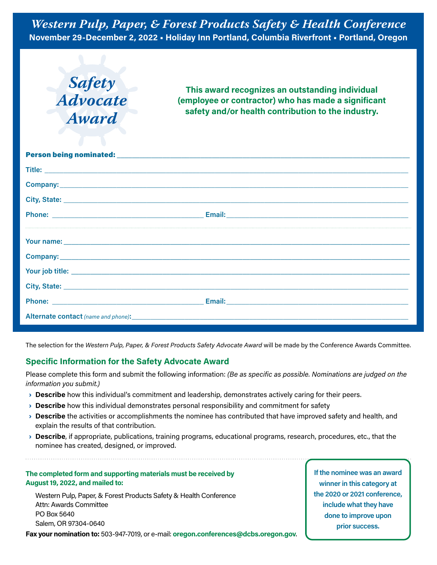

**This award recognizes an outstanding individual (employee or contractor) who has made a significant safety and/or health contribution to the industry.**

The selection for the *Western Pulp, Paper, & Forest Products Safety Advocate Award* will be made by the Conference Awards Committee.

#### **Specific Information for the Safety Advocate Award**

Please complete this form and submit the following information: *(Be as specific as possible. Nominations are judged on the information you submit.)*

- › **Describe** how this individual's commitment and leadership, demonstrates actively caring for their peers.
- › **Describe** how this individual demonstrates personal responsibility and commitment for safety
- › **Describe** the activities or accomplishments the nominee has contributed that have improved safety and health, and explain the results of that contribution.
- › **Describe**, if appropriate, publications, training programs, educational programs, research, procedures, etc., that the nominee has created, designed, or improved.

#### **The completed form and supporting materials must be received by August 19, 2022, and mailed to:**

Western Pulp, Paper, & Forest Products Safety & Health Conference Attn: Awards Committee PO Box 5640 Salem, OR 97304-0640

**Fax your nomination to:** 503-947-7019, or e-mail: **[oregon.conferences@dcbs.oregon.gov](https://osha.oregon.govoregon.conferences@oregon.gov)**.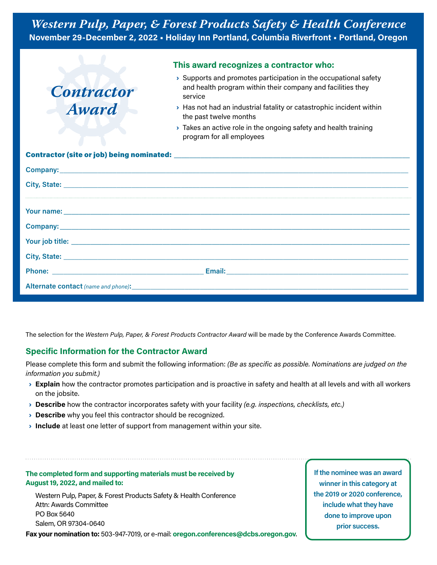

The selection for the *Western Pulp, Paper, & Forest Products Contractor Award* will be made by the Conference Awards Committee.

#### **Specific Information for the Contractor Award**

Please complete this form and submit the following information: *(Be as specific as possible. Nominations are judged on the information you submit.)*

- › **Explain** how the contractor promotes participation and is proactive in safety and health at all levels and with all workers on the jobsite.
- › **Describe** how the contractor incorporates safety with your facility *(e.g. inspections, checklists, etc.)*
- › **Describe** why you feel this contractor should be recognized.
- **Include** at least one letter of support from management within your site.

#### **The completed form and supporting materials must be received by August 19, 2022, and mailed to:**

Western Pulp, Paper, & Forest Products Safety & Health Conference Attn: Awards Committee PO Box 5640 Salem, OR 97304-0640

**Fax your nomination to:** 503-947-7019, or e-mail: **[oregon.conferences@dcbs.oregon.gov](https://osha.oregon.govoregon.conferences@oregon.gov)**.